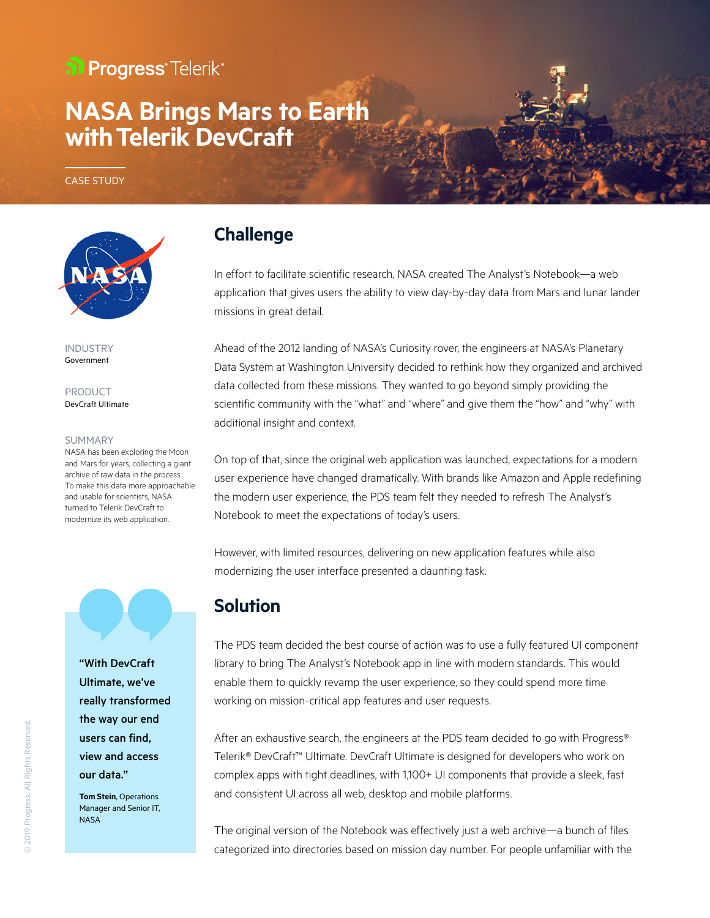## al Progress<sup>®</sup>Telerik®

# **NASA Brings Mars to Earth withTelerik DevCraft**

CASE STUDY

INDUSTRY Government

PRODUCT DevCraft Ultimate

#### SUMMARY

NASA has been exploring the Moon and Mars for years, collecting a giant archive of raw data in the process. To make this data more approachable and usable for scientists, NASA turned to Telerik DevCraft to modernize its web application.



"With DevCraft Ultimate, we've really transformed the way our end users can find, view and access our data."

**Tom Stein**, Operations Manager and Senior IT, **NASA** 

#### **Challenge**

In effort to facilitate scientific research, NASA created The Analyst's Notebook—a web application that gives users the ability to view day-by-day data from Mars and lunar lander missions in great detail.

Ahead of the 2012 landing of NASA's Curiosity rover, the engineers at NASA's Planetary Data System at Washington University decided to rethink how they organized and archived data collected from these missions. They wanted to go beyond simply providing the scientific community with the "what" and "where" and give them the "how" and "why" with additional insight and context.

On top of that, since the original web application was launched, expectations for a modern user experience have changed dramatically. With brands like Amazon and Apple redefining the modern user experience, the PDS team felt they needed to refresh The Analyst's Notebook to meet the expectations of today's users.

However, with limited resources, delivering on new application features while also modernizing the user interface presented a daunting task.

### **Solution**

The PDS team decided the best course of action was to use a fully featured UI component library to bring The Analyst's Notebook app in line with modern standards. This would enable them to quickly revamp the user experience, so they could spend more time working on mission-critical app features and user requests.

After an exhaustive search, the engineers at the PDS team decided to go with Progress® Telerik® DevCraft™ Ultimate. DevCraft Ultimate is designed for developers who work on complex apps with tight deadlines, with 1,100+ UI components that provide a sleek, fast and consistent UI across all web, desktop and mobile platforms.

The original version of the Notebook was effectively just a web archive—a bunch of files categorized into directories based on mission day number. For people unfamiliar with the